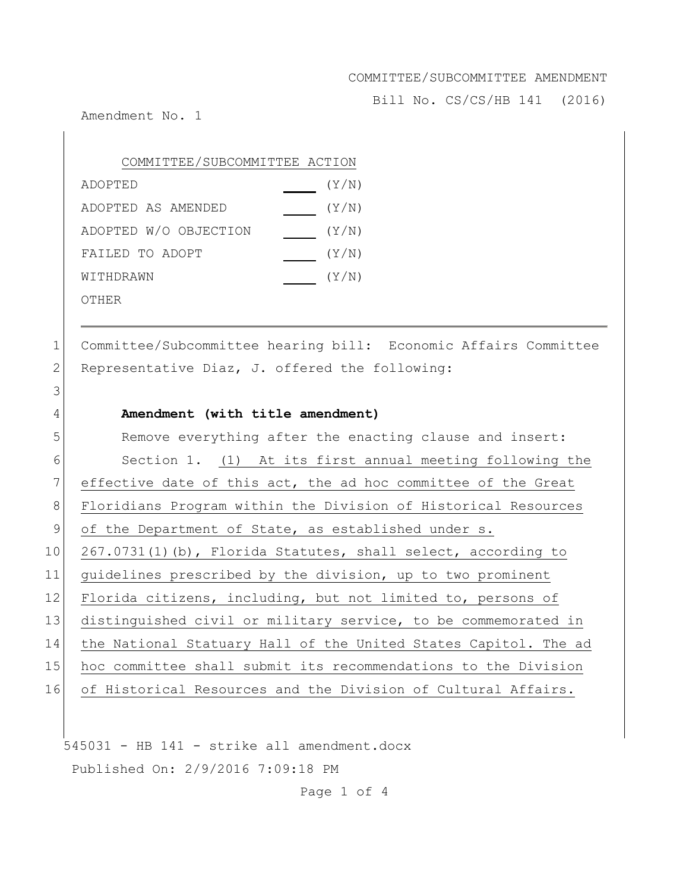Bill No. CS/CS/HB 141 (2016)

Amendment No. 1

| COMMITTEE/SUBCOMMITTEE ACTION |       |
|-------------------------------|-------|
| ADOPTED                       | (Y/N) |
| ADOPTED AS AMENDED            | (Y/N) |
| ADOPTED W/O OBJECTION         | (Y/N) |
| FAILED TO ADOPT               | (Y/N) |
| WITHDRAWN                     | (Y/N) |
| OTHER                         |       |

1 Committee/Subcommittee hearing bill: Economic Affairs Committee 2 Representative Diaz, J. offered the following:

### 4 **Amendment (with title amendment)**

| 5               | Remove everything after the enacting clause and insert:         |
|-----------------|-----------------------------------------------------------------|
| 6               | Section 1. (1) At its first annual meeting following the        |
| 7               | effective date of this act, the ad hoc committee of the Great   |
| 8               | Floridians Program within the Division of Historical Resources  |
| 9               | of the Department of State, as established under s.             |
| 10 <sub>1</sub> | $267.0731(1)$ (b), Florida Statutes, shall select, according to |
| 11              | quidelines prescribed by the division, up to two prominent      |
| 12 <sup>2</sup> | Florida citizens, including, but not limited to, persons of     |
| 13              | distinguished civil or military service, to be commemorated in  |
| 14              | the National Statuary Hall of the United States Capitol. The ad |
| 15              | hoc committee shall submit its recommendations to the Division  |
| 16              | of Historical Resources and the Division of Cultural Affairs.   |
|                 |                                                                 |

545031 - HB 141 - strike all amendment.docx Published On: 2/9/2016 7:09:18 PM

Page 1 of 4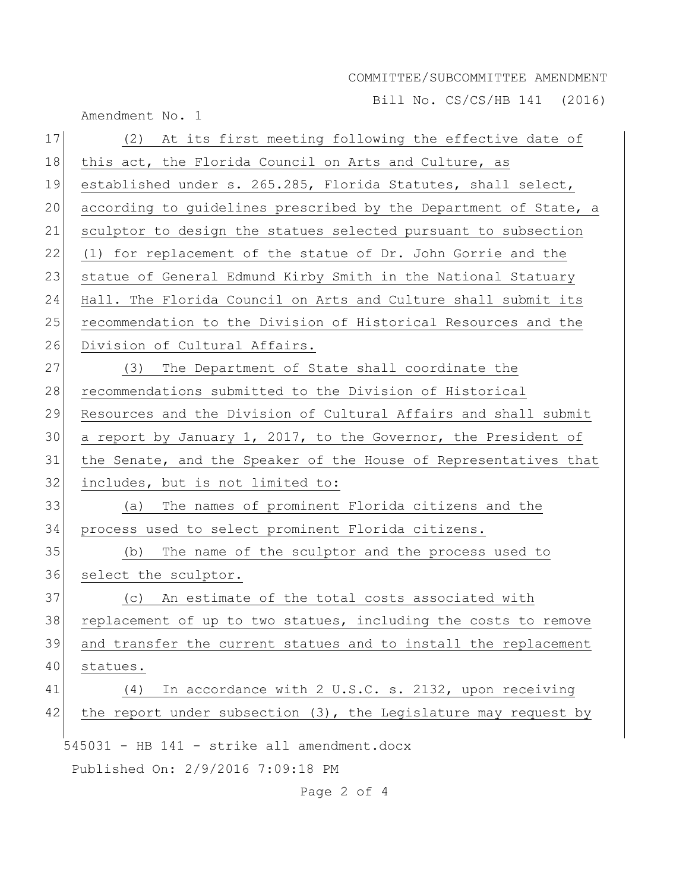Bill No. CS/CS/HB 141 (2016)

|    | $\pm$ $\pm$ $\sqrt{2}$ $\rightarrow$ $\sqrt{2}$ $\sqrt{2}$ $\sqrt{2}$ $\sqrt{2}$ $\sqrt{2}$ $\pm$ $\pm$ $\pm$ $\pm$<br>Amendment No. 1 |
|----|----------------------------------------------------------------------------------------------------------------------------------------|
| 17 | (2) At its first meeting following the effective date of                                                                               |
| 18 | this act, the Florida Council on Arts and Culture, as                                                                                  |
| 19 | established under s. 265.285, Florida Statutes, shall select,                                                                          |
| 20 | according to guidelines prescribed by the Department of State, a                                                                       |
| 21 | sculptor to design the statues selected pursuant to subsection                                                                         |
| 22 | (1) for replacement of the statue of Dr. John Gorrie and the                                                                           |
| 23 | statue of General Edmund Kirby Smith in the National Statuary                                                                          |
| 24 | Hall. The Florida Council on Arts and Culture shall submit its                                                                         |
| 25 | recommendation to the Division of Historical Resources and the                                                                         |
| 26 | Division of Cultural Affairs.                                                                                                          |
| 27 | (3) The Department of State shall coordinate the                                                                                       |
| 28 | recommendations submitted to the Division of Historical                                                                                |
| 29 | Resources and the Division of Cultural Affairs and shall submit                                                                        |
| 30 | a report by January 1, 2017, to the Governor, the President of                                                                         |
| 31 | the Senate, and the Speaker of the House of Representatives that                                                                       |
| 32 | includes, but is not limited to:                                                                                                       |
| 33 | The names of prominent Florida citizens and the<br>(a)                                                                                 |
| 34 | process used to select prominent Florida citizens.                                                                                     |
| 35 | The name of the sculptor and the process used to<br>(b)                                                                                |
| 36 | select the sculptor.                                                                                                                   |
| 37 | An estimate of the total costs associated with<br>(C)                                                                                  |
| 38 | replacement of up to two statues, including the costs to remove                                                                        |
| 39 | and transfer the current statues and to install the replacement                                                                        |
| 40 | statues.                                                                                                                               |
| 41 | In accordance with 2 U.S.C. s. 2132, upon receiving<br>(4)                                                                             |
| 42 | the report under subsection $(3)$ , the Legislature may request by                                                                     |
|    | 545031 - HB 141 - strike all amendment.docx                                                                                            |
|    | Published On: 2/9/2016 7:09:18 PM                                                                                                      |
|    |                                                                                                                                        |

Page 2 of 4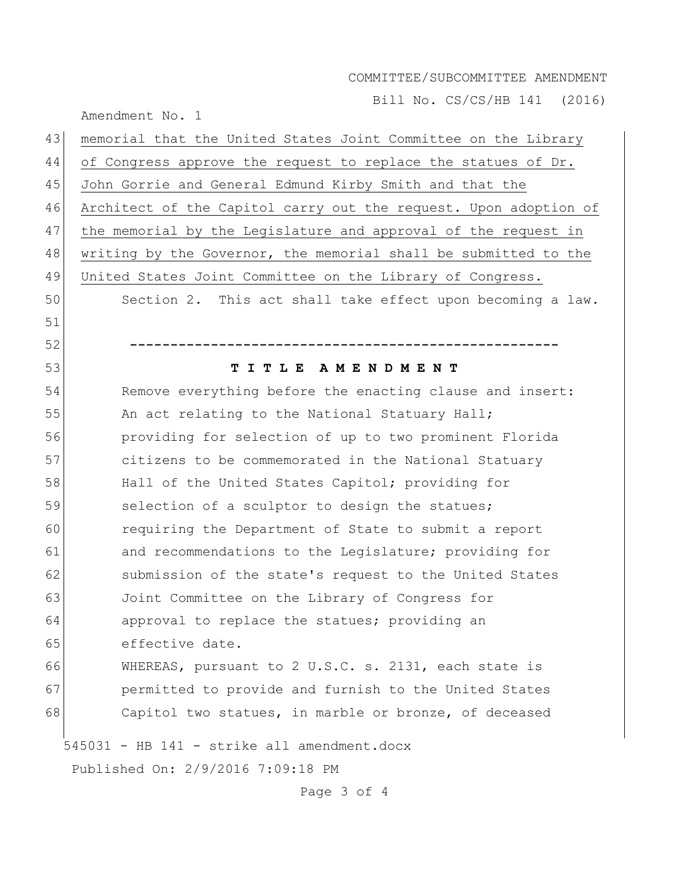Bill No. CS/CS/HB 141 (2016)

| Amendment No. |  |  |
|---------------|--|--|
|---------------|--|--|

| 43 | memorial that the United States Joint Committee on the Library   |
|----|------------------------------------------------------------------|
| 44 | of Congress approve the request to replace the statues of Dr.    |
| 45 | John Gorrie and General Edmund Kirby Smith and that the          |
| 46 | Architect of the Capitol carry out the request. Upon adoption of |
| 47 | the memorial by the Legislature and approval of the request in   |
| 48 | writing by the Governor, the memorial shall be submitted to the  |
| 49 | United States Joint Committee on the Library of Congress.        |
| 50 | Section 2. This act shall take effect upon becoming a law.       |
| 51 |                                                                  |
| 52 |                                                                  |
| 53 | ITLE<br>A M E N D M E N T<br>т                                   |
| 54 | Remove everything before the enacting clause and insert:         |
| 55 | An act relating to the National Statuary Hall;                   |
| 56 | providing for selection of up to two prominent Florida           |
| 57 | citizens to be commemorated in the National Statuary             |
| 58 | Hall of the United States Capitol; providing for                 |
| 59 | selection of a sculptor to design the statues;                   |
| 60 | requiring the Department of State to submit a report             |
| 61 | and recommendations to the Legislature; providing for            |
| 62 | submission of the state's request to the United States           |
| 63 | Joint Committee on the Library of Congress for                   |
| 64 | approval to replace the statues; providing an                    |
| 65 | effective date.                                                  |
| 66 | WHEREAS, pursuant to 2 U.S.C. s. 2131, each state is             |
| 67 | permitted to provide and furnish to the United States            |
| 68 | Capitol two statues, in marble or bronze, of deceased            |
|    | 545031 - HB 141 - strike all amendment.docx                      |
|    | Published On: 2/9/2016 7:09:18 PM                                |

Page 3 of 4